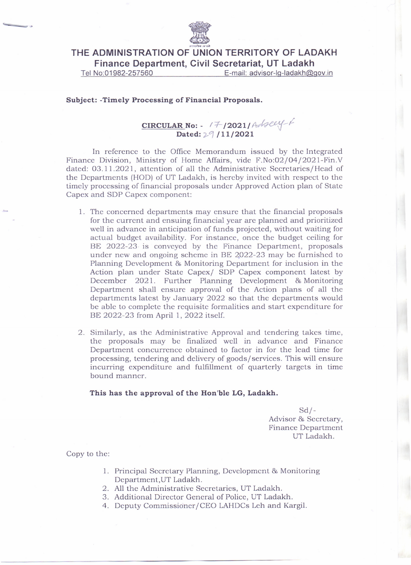

**THE ADMINISTRATION OF UNION TERRITORY OF LADAKH Finance Department, Civil Secretariat, UT Ladakh**

Tel No:01982-257560 E-mail: advisor-Ig-Iadakh@gov.in

## **Subject: -Timely Processing of Financial Proposals.**

## **CIRCULARNo: -** !:t--**/2021/** *Ahec-f:{--I* Dated:  $2^9$  /11/2021

In reference to the Office Memorandum issued by the Integrated Finance Division, Ministry of Home Affairs, vide F.No:02/04/2021-Fin.V dated: 03.1 1.2021, attention of all the Administrative Secretaries/Head of the Departments (HOD) of UT Ladakh, is hereby invited with respect to the timely processing of financial proposals under Approved Action plan of State Capex and SDP Capex component:

- 1. The concerned departments may ensure that the financial proposals for the current and ensuing financial year are planned and prioritized well in advance in anticipation of funds projected, without waiting for actual budget availability. For instance, once the budget ceiling for BE 2022-23 is conveyed by the Finance Department, proposals under new and ongoing scheme in BE 2022-23 may be furnished to Planning Development & Monitoring Department for inclusion in the Action plan under State Capex/ SDP Capex component latest by December 2021. Further Planning Development & Monitoring Department shall ensure approval of the Action plans of all the departments latest by January 2022 so that the departments would be able to complete the requisite formalities and start expenditure for BE 2022-23 from April 1, 2022 itself.
- 2. Similarly, as the Administrative Approval and tendering takes time, the proposals may be finalized well in advance and Finance Department concurrence obtained to factor in for the lead time for processing, tendering and delivery of goods/services. This will ensure incurring expenditure and fulfillment of quarterly targets in time bound manner.

## **This has the approval of the Hon'ble LG, Ladakh.**

 $Sd$  /-Advisor & Secretary, Finance Department UT Ladakh.

Copy to the:

- 1. Principal Secretary Planning, Development & Monitoring Department,UT Ladakh.
- 2. All the Administrative Secretaries, UT Ladakh.
- 3. Additional Direetor General of Police, UT Ladakh.
- 4. Deputy Commissioner/CEO LAHDCs Leh and Kargil.